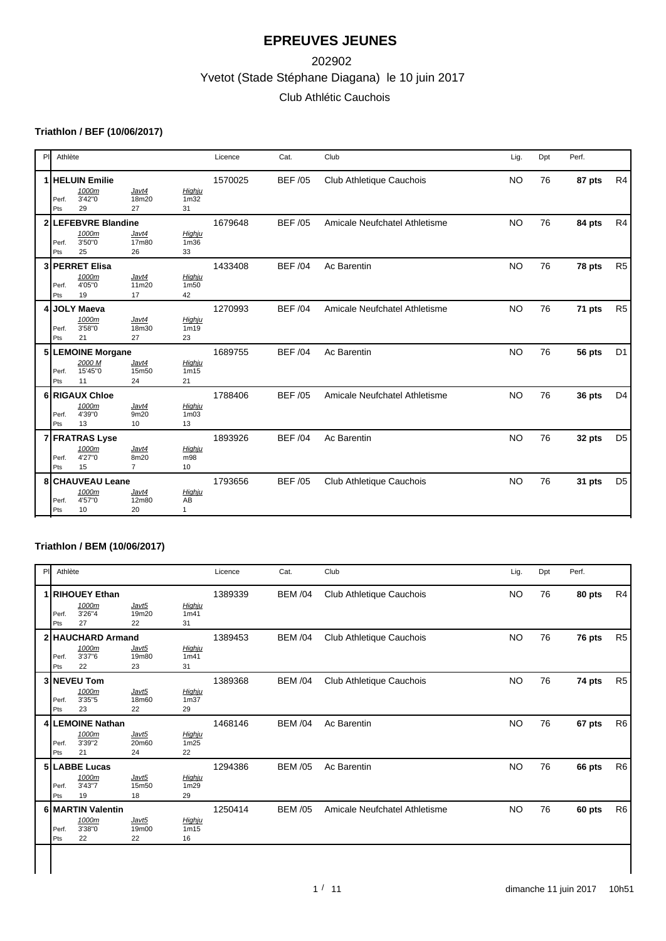# Yvetot (Stade Stéphane Diagana) le 10 juin 2017 202902 Club Athlétic Cauchois

### **Triathlon / BEF (10/06/2017)**

| PI.<br>Athlète |                                                   |                                 |                                   | Licence | Cat.           | Club                            | Lig.      | Dpt | Perf.  |                |
|----------------|---------------------------------------------------|---------------------------------|-----------------------------------|---------|----------------|---------------------------------|-----------|-----|--------|----------------|
| Perf.<br>Pts   | I   HELUIN Emilie<br>1000m<br>3'42"0<br>29        | Javt4<br>18m20<br>27            | Highju<br>1 <sub>m32</sub><br>31  | 1570025 | <b>BEF/05</b>  | Club Athletique Cauchois        | <b>NO</b> | 76  | 87 pts | R4             |
| Perf.<br>Pts   | <b>LEFEBVRE Blandine</b><br>1000m<br>3'50"0<br>25 | Javt4<br>17m80<br>26            | Highju<br>1 <sub>m36</sub><br>33  | 1679648 | <b>BEF/05</b>  | Amicale Neufchatel Athletisme   | <b>NO</b> | 76  | 84 pts | R4             |
| Perf.<br>Pts   | 3 PERRET Elisa<br>1000m<br>4'05"0<br>19           | Javt4<br>11m20<br>17            | Highju<br>1m50<br>42              | 1433408 | <b>BEF/04</b>  | Ac Barentin                     | <b>NO</b> | 76  | 78 pts | R <sub>5</sub> |
| Perf.<br>Pts   | <b>JOLY Maeva</b><br>1000m<br>3'58"0<br>21        | Javt4<br>18m30<br>27            | Highju<br>1 <sub>m19</sub><br>23  | 1270993 | <b>BEF/04</b>  | Amicale Neufchatel Athletisme   | <b>NO</b> | 76  | 71 pts | R <sub>5</sub> |
| Perf.<br>Pts   | 5 LEMOINE Morgane<br>2000 M<br>15'45"0<br>11      | Javt4<br>15m50<br>24            | Highju<br>1m15<br>21              | 1689755 | <b>BEF/04</b>  | Ac Barentin                     | <b>NO</b> | 76  | 56 pts | D <sub>1</sub> |
| Perf.<br>Pts   | 6 RIGAUX Chloe<br>1000m<br>4'39"0<br>13           | Javt4<br>9m20<br>10             | Highju<br>1 <sub>m</sub> 03<br>13 | 1788406 | <b>BEF/05</b>  | Amicale Neufchatel Athletisme   | <b>NO</b> | 76  | 36 pts | D <sub>4</sub> |
| Perf.<br>Pts   | 7 FRATRAS Lyse<br>1000m<br>4'27"0<br>15           | Javt4<br>8m20<br>$\overline{7}$ | Highju<br>m98<br>10               | 1893926 | <b>BEF/04</b>  | Ac Barentin                     | <b>NO</b> | 76  | 32 pts | D <sub>5</sub> |
| Perf.<br>Pts   | 8 CHAUVEAU Leane<br>1000m<br>4'57"0<br>10         | Javt4<br>12m80<br>20            | Highju<br>AB<br>$\mathbf{1}$      | 1793656 | <b>BEF /05</b> | <b>Club Athletique Cauchois</b> | <b>NO</b> | 76  | 31 pts | D <sub>5</sub> |

### **Triathlon / BEM (10/06/2017)**

|              |                                                   | Athlète<br>PI        |                                  |         | Cat.           | Club                          |           |    | Perf.  |                |
|--------------|---------------------------------------------------|----------------------|----------------------------------|---------|----------------|-------------------------------|-----------|----|--------|----------------|
| Perf.<br>Pts | 1 RIHOUEY Ethan<br>1000m<br>3'26"4<br>27          | Javt5<br>19m20<br>22 | Highju<br>1m41<br>31             | 1389339 | <b>BEM /04</b> | Club Athletique Cauchois      | NO.       | 76 | 80 pts | R4             |
| Perf.<br>Pts | 2 HAUCHARD Armand<br>1000m<br>3'37"6<br>22        | Javt5<br>19m80<br>23 | Highju<br>1m41<br>31             | 1389453 | <b>BEM /04</b> | Club Athletique Cauchois      | <b>NO</b> | 76 | 76 pts | R5             |
| Perf.<br>Pts | 3 NEVEU Tom<br>1000m<br>3'35"5<br>23              | Javt5<br>18m60<br>22 | Highju<br>1 <sub>m37</sub><br>29 | 1389368 | <b>BEM /04</b> | Club Athletique Cauchois      | <b>NO</b> | 76 | 74 pts | R <sub>5</sub> |
| Perf.<br>Pts | 4 LEMOINE Nathan<br>1000m<br>3'39"2<br>21         | Javt5<br>20m60<br>24 | Highju<br>1m25<br>22             | 1468146 | <b>BEM /04</b> | Ac Barentin                   | <b>NO</b> | 76 | 67 pts | R <sub>6</sub> |
| Perf.<br>Pts | 5 LABBE Lucas<br>1000m<br>3'43"7<br>19            | Javt5<br>15m50<br>18 | Highju<br>1m29<br>29             | 1294386 | <b>BEM /05</b> | Ac Barentin                   | <b>NO</b> | 76 | 66 pts | R <sub>6</sub> |
| Perf.<br>Pts | <b>6 MARTIN Valentin</b><br>1000m<br>3'38"0<br>22 | Javt5<br>19m00<br>22 | Highju<br>1m15<br>16             | 1250414 | <b>BEM /05</b> | Amicale Neufchatel Athletisme | <b>NO</b> | 76 | 60 pts | R <sub>6</sub> |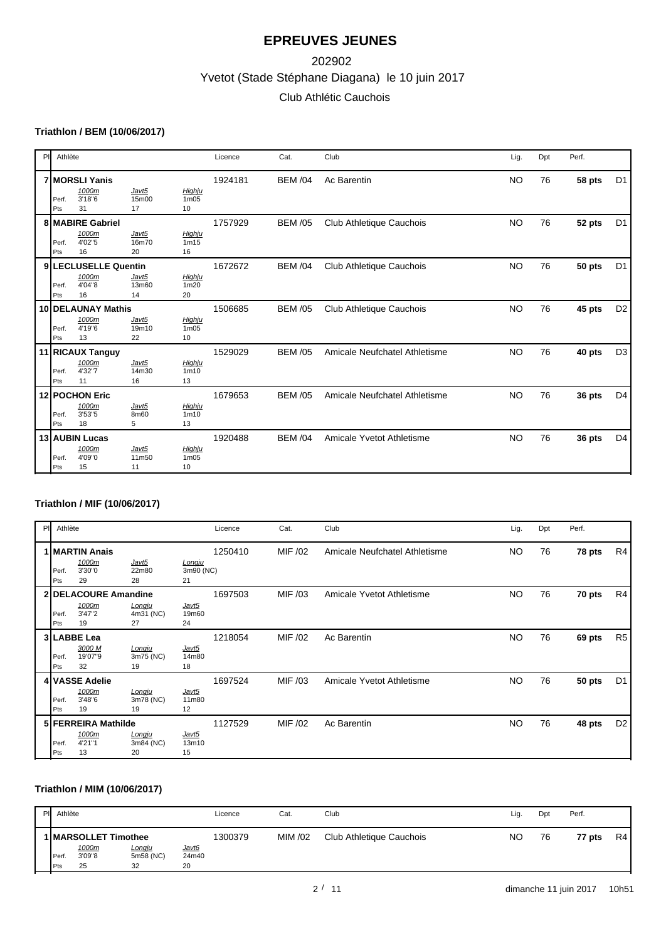# Yvetot (Stade Stéphane Diagana) le 10 juin 2017 202902 Club Athlétic Cauchois

### **Triathlon / BEM (10/06/2017)**

| PI | Athlète      |                                                     |                      |                                               | Licence | Cat.           | Club                          | Lig.      | Dpt | Perf.  |                |
|----|--------------|-----------------------------------------------------|----------------------|-----------------------------------------------|---------|----------------|-------------------------------|-----------|-----|--------|----------------|
|    | Perf.<br>Pts | <b>7 MORSLI Yanis</b><br>1000m<br>3'18"6<br>31      | Javt5<br>15m00<br>17 | Highju<br>1m05<br>10                          | 1924181 | <b>BEM /04</b> | Ac Barentin                   | <b>NO</b> | 76  | 58 pts | D <sub>1</sub> |
|    | Perf.<br>Pts | <b>8 MABIRE Gabriel</b><br>1000m<br>4'02"5<br>16    | Javt5<br>16m70<br>20 | Highju<br>1m15<br>16                          | 1757929 | <b>BEM /05</b> | Club Athletique Cauchois      | <b>NO</b> | 76  | 52 pts | D <sub>1</sub> |
|    | Perf.<br>Pts | 9 LECLUSELLE Quentin<br>1000m<br>4'04"8<br>16       | Javt5<br>13m60<br>14 | Highju<br>1 <sub>m20</sub><br>20              | 1672672 | <b>BEM /04</b> | Club Athletique Cauchois      | <b>NO</b> | 76  | 50 pts | D <sub>1</sub> |
|    | Perf.<br>Pts | <b>10 IDELAUNAY Mathis</b><br>1000m<br>4'19"6<br>13 | Javt5<br>19m10<br>22 | Highju<br>1 <sub>m</sub> 0 <sub>5</sub><br>10 | 1506685 | <b>BEM /05</b> | Club Athletique Cauchois      | <b>NO</b> | 76  | 45 pts | D <sub>2</sub> |
|    | Perf.<br>Pts | 11 RICAUX Tanguy<br>1000m<br>4'32"7<br>11           | Javt5<br>14m30<br>16 | Highju<br>1 <sub>m10</sub><br>13              | 1529029 | <b>BEM /05</b> | Amicale Neufchatel Athletisme | <b>NO</b> | 76  | 40 pts | D <sub>3</sub> |
|    | Perf.<br>Pts | 12 POCHON Eric<br>1000m<br>3'53"5<br>18             | Javt5<br>8m60<br>5   | Highju<br>1 <sub>m</sub> 10<br>13             | 1679653 | <b>BEM /05</b> | Amicale Neufchatel Athletisme | <b>NO</b> | 76  | 36 pts | D <sub>4</sub> |
|    | Perf.<br>Pts | 13 AUBIN Lucas<br>1000m<br>4'09"0<br>15             | Javt5<br>11m50<br>11 | Highju<br>1 <sub>m</sub> 05<br>10             | 1920488 | <b>BEM /04</b> | Amicale Yvetot Athletisme     | <b>NO</b> | 76  | 36 pts | D <sub>4</sub> |

### **Triathlon / MIF (10/06/2017)**

| PI | Athlète     |                                               |                                  |                           | Licence | Cat.    | Club                          | Lig.      | Dpt | Perf.  |                |
|----|-------------|-----------------------------------------------|----------------------------------|---------------------------|---------|---------|-------------------------------|-----------|-----|--------|----------------|
|    | Perf<br>Pts | ∣MARTIN Anais<br>1000m<br>3'30"0<br>29        | Javt5<br>22m80<br>28             | Longju<br>3m90 (NC)<br>21 | 1250410 | MIF /02 | Amicale Neufchatel Athletisme | <b>NO</b> | 76  | 78 pts | R4             |
|    | Perf<br>Pts | 2 DELACOURE Amandine<br>1000m<br>3'47"2<br>19 | Longju<br>4m31 (NC)<br>27        | Javt5<br>19m60<br>24      | 1697503 | MIF /03 | Amicale Yvetot Athletisme     | <b>NO</b> | 76  | 70 pts | R4             |
|    | Perf<br>Pts | 3 LABBE Lea<br>3000 M<br>19'07"9<br>32        | Longju<br>3m75 (NC)<br>19        | Javt5<br>14m80<br>18      | 1218054 | MIF /02 | Ac Barentin                   | <b>NO</b> | 76  | 69 pts | R <sub>5</sub> |
|    | Perf<br>Pts | 4 VASSE Adelie<br>1000m<br>3'48"6<br>19       | <u>Longju</u><br>3m78 (NC)<br>19 | Javt5<br>11m80<br>12      | 1697524 | MIF /03 | Amicale Yvetot Athletisme     | NO.       | 76  | 50 pts | D <sub>1</sub> |
|    | Perf<br>Pts | 5 FERREIRA Mathilde<br>1000m<br>4'21"1<br>13  | Longju<br>3m84 (NC)<br>20        | Javt5<br>13m10<br>15      | 1127529 | MIF /02 | Ac Barentin                   | <b>NO</b> | 76  | 48 pts | D <sub>2</sub> |

### **Triathlon / MIM (10/06/2017)**

|              | PI Athlète                                      |                                  |                             | Licence | Cat.    | Club                     | Lig.      | Dpt | Perf.  |    |
|--------------|-------------------------------------------------|----------------------------------|-----------------------------|---------|---------|--------------------------|-----------|-----|--------|----|
| Perf.<br>Pts | 1   MARSOLLET Timothee<br>1000m<br>3'09"8<br>25 | <u>Lonqiu</u><br>5m58 (NC)<br>32 | <u>Javt6</u><br>24m40<br>20 | 1300379 | MIM /02 | Club Athletique Cauchois | <b>NO</b> | 76  | 77 pts | R4 |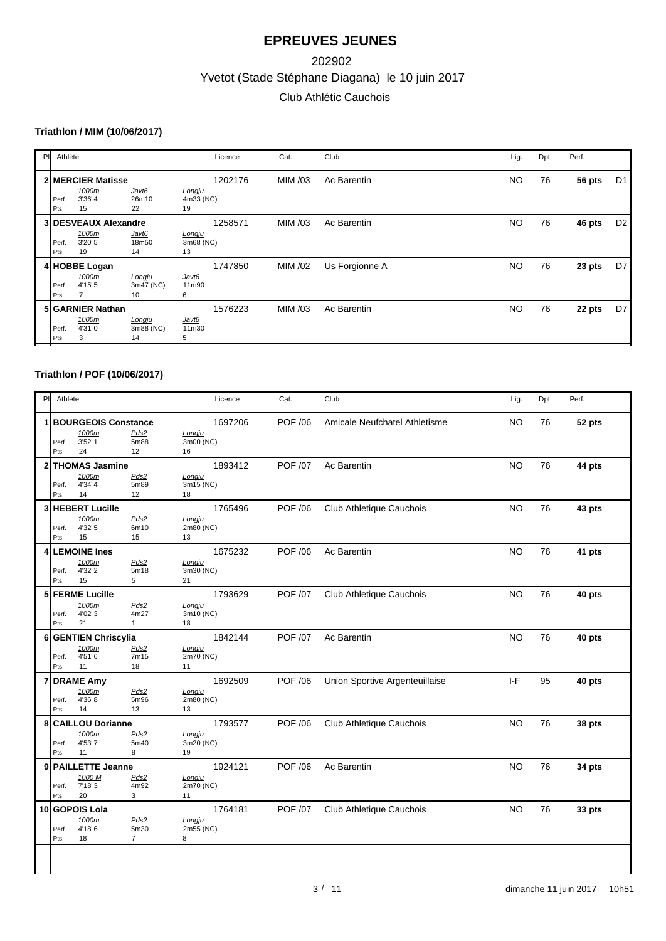# Yvetot (Stade Stéphane Diagana) le 10 juin 2017 202902 Club Athlétic Cauchois

### **Triathlon / MIM (10/06/2017)**

| PIL | Athlète            |                                                      |                           |                           | Licence | Cat.    | Club           | Lig.      | Dpt | Perf.  |                |
|-----|--------------------|------------------------------------------------------|---------------------------|---------------------------|---------|---------|----------------|-----------|-----|--------|----------------|
|     | <b>Perf</b><br>Pts | 2 MERCIER Matisse<br>1000m<br>3'36"4<br>15           | Javt6<br>26m10<br>22      | Longju<br>4m33 (NC)<br>19 | 1202176 | MIM /03 | Ac Barentin    | <b>NO</b> | 76  | 56 pts | D <sub>1</sub> |
|     | Perf<br>Pts        | <b>3 DESVEAUX Alexandre</b><br>1000m<br>3'20"5<br>19 | Javt6<br>18m50<br>14      | Longju<br>3m68 (NC)<br>13 | 1258571 | MIM /03 | Ac Barentin    | <b>NO</b> | 76  | 46 pts | D2             |
|     | Perf.<br>Pts       | 4 HOBBE Logan<br>1000m<br>4'15"5                     | Longju<br>3m47 (NC)<br>10 | Javt6<br>11m90<br>6       | 1747850 | MIM /02 | Us Forgionne A | <b>NO</b> | 76  | 23 pts | D7             |
|     | Perf.<br>Pts       | 5 GARNIER Nathan<br>1000m<br>4'31"0<br>3             | Longju<br>3m88 (NC)<br>14 | Javt6<br>11m30<br>5       | 1576223 | MIM /03 | Ac Barentin    | <b>NO</b> | 76  | 22 pts | D7             |

#### **Triathlon / POF (10/06/2017)**

| P            | Athlète |                            |                | Licence   | Cat.           | Club                           | Lig.      | Dpt | Perf.  |
|--------------|---------|----------------------------|----------------|-----------|----------------|--------------------------------|-----------|-----|--------|
|              |         | <b>BOURGEOIS Constance</b> |                | 1697206   | POF /06        | Amicale Neufchatel Athletisme  | <b>NO</b> | 76  | 52 pts |
|              |         | 1000m                      | Pds2           | Longju    |                |                                |           |     |        |
|              | Perf.   | 3'52"1                     | 5m88           | 3m00 (NC) |                |                                |           |     |        |
|              | Pts     | 24                         | 12             | 16        |                |                                |           |     |        |
| 2            |         | THOMAS Jasmine             |                | 1893412   | <b>POF /07</b> | Ac Barentin                    | <b>NO</b> | 76  | 44 pts |
|              |         | 1000m                      | Pds2           | Longju    |                |                                |           |     |        |
|              | Perf.   | 4'34"4                     | 5m89           | 3m15 (NC) |                |                                |           |     |        |
|              | Pts     | 14                         | 12             | 18        |                |                                |           |     |        |
| $\mathbf{3}$ |         | <b>HEBERT Lucille</b>      |                | 1765496   | POF /06        | Club Athletique Cauchois       | <b>NO</b> | 76  | 43 pts |
|              |         | 1000m                      | Pds2           | Longju    |                |                                |           |     |        |
|              | Perf.   | 4'32"5                     | 6m10           | 2m80 (NC) |                |                                |           |     |        |
|              | Pts     | 15                         | 15             | 13        |                |                                |           |     |        |
|              |         | 4 LEMOINE Ines             |                | 1675232   | POF /06        | Ac Barentin                    | <b>NO</b> | 76  | 41 pts |
|              |         | 1000m                      | Pds2           | Longju    |                |                                |           |     |        |
|              | Perf.   | 4'32"2                     | 5m18           | 3m30 (NC) |                |                                |           |     |        |
|              | Pts     | 15                         | 5              | 21        |                |                                |           |     |        |
|              |         | 5 FERME Lucille            |                | 1793629   | <b>POF /07</b> | Club Athletique Cauchois       | <b>NO</b> | 76  | 40 pts |
|              |         | 1000m                      | Pds2           | Longju    |                |                                |           |     |        |
|              | Perf.   | 4'02"3                     | 4m27           | 3m10 (NC) |                |                                |           |     |        |
|              | Pts     | 21                         | 1              | 18        |                |                                |           |     |        |
| 6            |         | <b>GENTIEN Chriscylia</b>  |                | 1842144   | <b>POF /07</b> | Ac Barentin                    | <b>NO</b> | 76  | 40 pts |
|              |         | 1000m                      | Pds2           | Longju    |                |                                |           |     |        |
|              | Perf.   | 4'51"6                     | 7m15           | 2m70 (NC) |                |                                |           |     |        |
|              | Pts     | 11                         | 18             | 11        |                |                                |           |     |        |
| 7            |         | <b>DRAME Amy</b>           |                | 1692509   | <b>POF /06</b> | Union Sportive Argenteuillaise | $I-F$     | 95  | 40 pts |
|              |         | 1000m                      | Pds2           | Longju    |                |                                |           |     |        |
|              | Perf.   | 4'36"8                     | 5m96           | 2m80 (NC) |                |                                |           |     |        |
|              | Pts     | 14                         | 13             | 13        |                |                                |           |     |        |
| 8            |         | <b>CAILLOU Dorianne</b>    |                | 1793577   | <b>POF /06</b> | Club Athletique Cauchois       | <b>NO</b> | 76  | 38 pts |
|              |         | 1000m                      | Pds2           | Longju    |                |                                |           |     |        |
|              | Perf.   | 4'53"7                     | 5m40           | 3m20 (NC) |                |                                |           |     |        |
|              | Pts     | 11                         | 8              | 19        |                |                                |           |     |        |
| 9            |         | <b>PAILLETTE Jeanne</b>    |                | 1924121   | POF /06        | Ac Barentin                    | <b>NO</b> | 76  | 34 pts |
|              |         | 1000 M                     | Pds2           | Longju    |                |                                |           |     |        |
|              | Perf.   | 7'18"3                     | 4m92           | 2m70 (NC) |                |                                |           |     |        |
|              | Pts     | 20                         | 3              | 11        |                |                                |           |     |        |
|              |         | 10 GOPOIS Lola             |                | 1764181   | <b>POF /07</b> | Club Athletique Cauchois       | <b>NO</b> | 76  | 33 pts |
|              |         | 1000m                      | Pds2           | Longju    |                |                                |           |     |        |
|              | Perf.   | 4'18"6                     | 5m30           | 2m55 (NC) |                |                                |           |     |        |
|              | Pts     | 18                         | $\overline{7}$ | 8         |                |                                |           |     |        |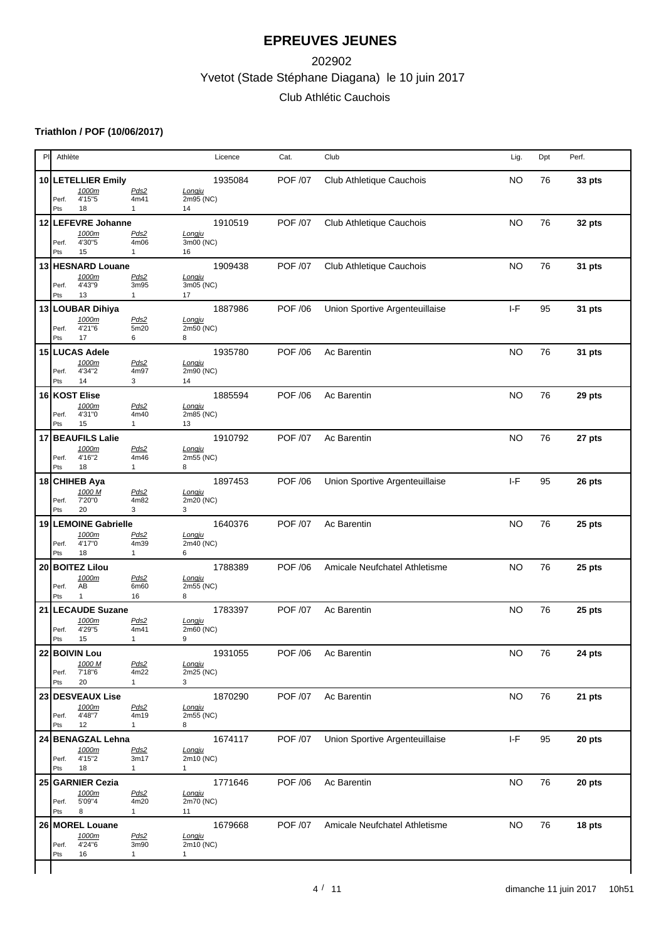# Yvetot (Stade Stéphane Diagana) le 10 juin 2017 202902 Club Athlétic Cauchois

### **Triathlon / POF (10/06/2017)**

| P  | Athlète                                                                | Licence                             | Cat.           | Club                           | Lig.      | Dpt | Perf.  |
|----|------------------------------------------------------------------------|-------------------------------------|----------------|--------------------------------|-----------|-----|--------|
|    | 10 LETELLIER Emily<br>1000m<br>Pds2                                    | 1935084<br>Longju                   | <b>POF /07</b> | Club Athletique Cauchois       | <b>NO</b> | 76  | 33 pts |
|    | 4'15"5<br>4m41<br>Perf.<br>18<br>Pts<br>$\mathbf{1}$                   | 2m95 (NC)<br>14                     |                |                                |           |     |        |
|    | 12 LEFEVRE Johanne                                                     | 1910519                             | <b>POF /07</b> | Club Athletique Cauchois       | <b>NO</b> | 76  | 32 pts |
|    | Pds2<br>1000m<br>4'30"5<br>4m06<br>Perf.                               | Longju<br>3m00 (NC)                 |                |                                |           |     |        |
|    | Pts<br>15<br>$\mathbf{1}$<br>13 HESNARD Louane                         | 16<br>1909438                       | <b>POF /07</b> | Club Athletique Cauchois       | <b>NO</b> | 76  |        |
|    | 1000m<br>Pds2<br>4'43"9<br>3m95<br>Perf.<br>13<br>Pts                  | Longju<br>3m05 (NC)                 |                |                                |           |     | 31 pts |
|    | $\mathbf{1}$<br>13 LOUBAR Dihiya                                       | 17<br>1887986                       | POF /06        | Union Sportive Argenteuillaise | $I-F$     | 95  | 31 pts |
|    | 1000m<br>Pds2<br>4'21"6<br>5m20<br>Perf.<br>17<br>6<br>Pts             | Longju<br>2m50 (NC)<br>8            |                |                                |           |     |        |
|    | 15 LUCAS Adele<br>Pds2<br>1000m                                        | 1935780<br>Longju                   | <b>POF /06</b> | Ac Barentin                    | <b>NO</b> | 76  | 31 pts |
|    | 4'34"2<br>4m97<br>Perf.<br>14<br>3<br>Pts                              | 2m90 (NC)<br>14                     |                |                                |           |     |        |
|    | 16 KOST Elise                                                          | 1885594                             | <b>POF /06</b> | Ac Barentin                    | <b>NO</b> | 76  | 29 pts |
|    | 1000m<br>Pds2<br>4'31"0<br>4m40<br>Perf.<br>15<br>Pts<br>$\mathbf{1}$  | Longju<br>2m85 (NC)<br>13           |                |                                |           |     |        |
| 17 | <b>BEAUFILS Lalie</b>                                                  | 1910792                             | <b>POF /07</b> | Ac Barentin                    | <b>NO</b> | 76  | 27 pts |
|    | 1000m<br>Pds2<br>4'16"2<br>4m46<br>Perf.<br>18<br>$\mathbf{1}$<br>Pts  | Longju<br>2m55 (NC)<br>8            |                |                                |           |     |        |
|    | 18 CHIHEB Aya                                                          | 1897453                             | <b>POF /06</b> | Union Sportive Argenteuillaise | $I-F$     | 95  | 26 pts |
|    | 1000 M<br>Pds2<br>7'20"0<br>4m82<br>Perf.<br>20<br>3<br>Pts            | Longju<br>2m20 (NC)<br>3            |                |                                |           |     |        |
| 19 | <b>LEMOINE Gabrielle</b>                                               | 1640376                             | POF /07        | Ac Barentin                    | <b>NO</b> | 76  | 25 pts |
|    | 1000m<br>Pds2<br>4'17"0<br>4m39<br>Perf.<br>18<br>Pts<br>$\mathbf{1}$  | Longju<br>2m40 (NC)<br>6            |                |                                |           |     |        |
|    | 20 BOITEZ Lilou                                                        | 1788389                             | <b>POF /06</b> | Amicale Neufchatel Athletisme  | <b>NO</b> | 76  | 25 pts |
|    | 1000m<br>Pds2<br>AB<br>6m60<br>Perf.<br>$\mathbf{1}$<br>Pts<br>16      | Longju<br>2m55 (NC)<br>8            |                |                                |           |     |        |
|    | 21 LECAUDE Suzane                                                      | 1783397                             | <b>POF /07</b> | Ac Barentin                    | <b>NO</b> | 76  | 25 pts |
|    | 1000m<br>Pds2<br>4'29"5<br>4m41<br>Perf.<br>15<br>Pts<br>$\mathbf{1}$  | Longju<br>2m60 (NC)<br>9            |                |                                |           |     |        |
|    | 22 BOIVIN Lou                                                          | 1931055                             | POF /06        | Ac Barentin                    | <b>NO</b> | 76  | 24 pts |
|    | 1000 M<br>Pds2<br>7'18"6<br>4m22<br>Perf.<br>20<br>$\mathbf{1}$<br>Pts | Longju<br>2m25 (NC)<br>3            |                |                                |           |     |        |
|    | 23 DESVEAUX Lise                                                       | 1870290                             | POF /07        | Ac Barentin                    | <b>NO</b> | 76  | 21 pts |
|    | 1000m<br>Pds2<br>4'48"7<br>4m19<br>Perf.<br>12<br>Pts<br>$\mathbf{1}$  | Longju<br>2m55 (NC)<br>8            |                |                                |           |     |        |
|    | 24 BENAGZAL Lehna                                                      | 1674117                             | POF /07        | Union Sportive Argenteuillaise | $I-F$     | 95  | 20 pts |
|    | Pds2<br>1000m<br>4'15"2<br>3m17<br>Perf.<br>Pts<br>18<br>$\mathbf{1}$  | Longju<br>2m10 (NC)<br>$\mathbf{1}$ |                |                                |           |     |        |
|    | 25 GARNIER Cezia                                                       | 1771646                             | POF /06        | Ac Barentin                    | <b>NO</b> | 76  | 20 pts |
|    | 1000m<br>Pds2<br>5'09"4<br>4m20<br>Perf.<br>8<br>Pts<br>$\mathbf{1}$   | Longju<br>2m70 (NC)<br>11           |                |                                |           |     |        |
|    | 26 MOREL Louane                                                        | 1679668                             | <b>POF /07</b> | Amicale Neufchatel Athletisme  | <b>NO</b> | 76  | 18 pts |
|    | 1000m<br>Pds2                                                          | Longju<br>2m10 (NC)                 |                |                                |           |     |        |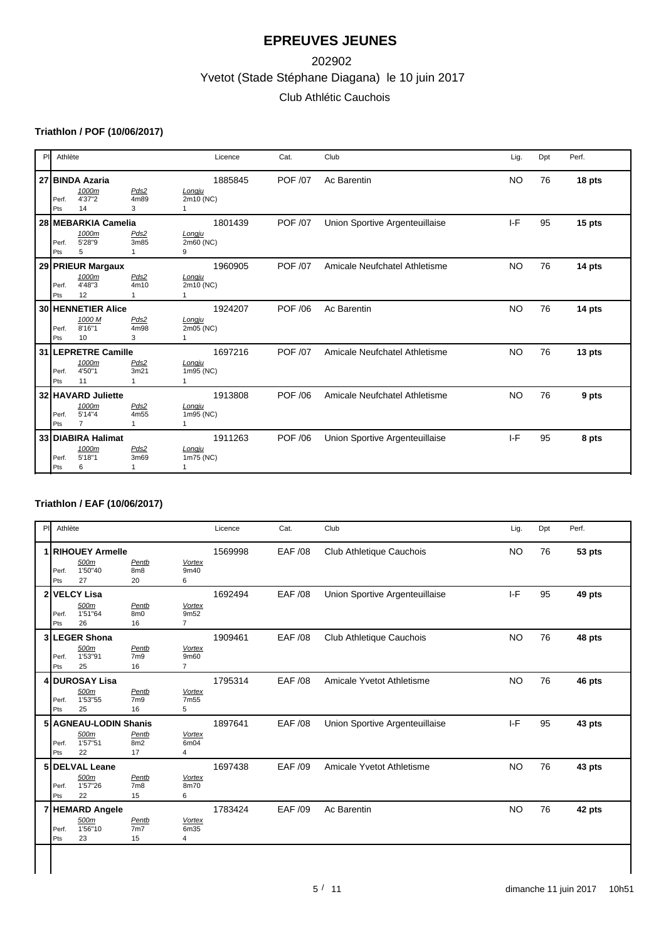# Yvetot (Stade Stéphane Diagana) le 10 juin 2017 202902 Club Athlétic Cauchois

### **Triathlon / POF (10/06/2017)**

| PI | Athlète                                                                                                 | Licence                                        | Cat.           | Club                           | Lig.      | Dpt | Perf.  |
|----|---------------------------------------------------------------------------------------------------------|------------------------------------------------|----------------|--------------------------------|-----------|-----|--------|
|    | 27 BINDA Azaria<br>1000m<br>Pds2<br>4'37"2<br>4m89<br>Perf.<br>3<br>14<br>Pts                           | 1885845<br>Longju<br>2m10 (NC)<br>$\mathbf{1}$ | <b>POF /07</b> | Ac Barentin                    | <b>NO</b> | 76  | 18 pts |
|    | 28 MEBARKIA Camelia<br>1000m<br>Pds2<br>5'28"9<br>3m85<br>Perf.<br>5<br>Pts                             | 1801439<br>Longju<br>2m60 (NC)<br>9            | <b>POF /07</b> | Union Sportive Argenteuillaise | $I-F$     | 95  | 15 pts |
|    | 29 PRIEUR Margaux<br>1000m<br>Pds2<br>4'48"3<br>4m10<br>Perf.<br>12<br>Pts<br>1                         | 1960905<br>Longju<br>2m10 (NC)                 | <b>POF /07</b> | Amicale Neufchatel Athletisme  | <b>NO</b> | 76  | 14 pts |
|    | <b>30 HENNETIER Alice</b><br>1000 M<br>Pds2<br>8'16"1<br>4m98<br>Perf.<br>10<br>3<br>Pts                | 1924207<br>Longju<br>2m05 (NC)                 | <b>POF /06</b> | Ac Barentin                    | <b>NO</b> | 76  | 14 pts |
|    | 31 LEPRETRE Camille<br>1000m<br>Pds2<br>3m21<br>4'50"1<br>Perf.<br>11<br>Pts<br>1                       | 1697216<br>Longju<br>1m95 (NC)                 | <b>POF /07</b> | Amicale Neufchatel Athletisme  | <b>NO</b> | 76  | 13 pts |
|    | 32 HAVARD Juliette<br>1000m<br>Pds2<br>5'14"4<br>4m55<br>Perf.<br>$\overline{7}$<br>Pts<br>$\mathbf{1}$ | 1913808<br>Longju<br>1m95 (NC)                 | <b>POF /06</b> | Amicale Neufchatel Athletisme  | <b>NO</b> | 76  | 9 pts  |
|    | 33 DIABIRA Halimat<br>1000m<br>Pds2<br>5'18"1<br>3m69<br>Perf.<br>Pts<br>6                              | 1911263<br>Longju<br>1m75 (NC)                 | <b>POF /06</b> | Union Sportive Argenteuillaise | $1-F$     | 95  | 8 pts  |

### **Triathlon / EAF (10/06/2017)**

| P | Athlète      |                                                 |                                |                                         | Licence | Cat.           | Club                           | Lig.      | Dpt | Perf.  |
|---|--------------|-------------------------------------------------|--------------------------------|-----------------------------------------|---------|----------------|--------------------------------|-----------|-----|--------|
| 1 | Perf.<br>Pts | <b>RIHOUEY Armelle</b><br>500m<br>1'50"40<br>27 | Pentb<br>8m8<br>20             | <b>Vortex</b><br>9m40<br>6              | 1569998 | <b>EAF /08</b> | Club Athletique Cauchois       | <b>NO</b> | 76  | 53 pts |
|   | Perf.<br>Pts | 2 VELCY Lisa<br>500m<br>1'51"64<br>26           | Pentb<br>8m0<br>16             | <b>Vortex</b><br>9m52<br>$\overline{7}$ | 1692494 | <b>EAF /08</b> | Union Sportive Argenteuillaise | $I-F$     | 95  | 49 pts |
|   | Perf.<br>Pts | 3 LEGER Shona<br>500m<br>1'53"91<br>25          | Pentb<br>7m9<br>16             | <b>Vortex</b><br>9m60<br>$\overline{7}$ | 1909461 | <b>EAF /08</b> | Club Athletique Cauchois       | <b>NO</b> | 76  | 48 pts |
|   | Perf.<br>Pts | 4 DUROSAY Lisa<br>500m<br>1'53"55<br>25         | Pentb<br>7m9<br>16             | <b>Vortex</b><br>7m <sub>55</sub><br>5  | 1795314 | <b>EAF /08</b> | Amicale Yvetot Athletisme      | <b>NO</b> | 76  | 46 pts |
|   | Perf.<br>Pts | 5 AGNEAU-LODIN Shanis<br>500m<br>1'57"51<br>22  | Pentb<br>8m2<br>17             | <b>Vortex</b><br>6m04<br>$\overline{4}$ | 1897641 | <b>EAF /08</b> | Union Sportive Argenteuillaise | $I-F$     | 95  | 43 pts |
|   | Perf.<br>Pts | 5 DELVAL Leane<br>500m<br>1'57"26<br>22         | Pentb<br>7 <sub>m8</sub><br>15 | <b>Vortex</b><br>8m70<br>6              | 1697438 | <b>EAF /09</b> | Amicale Yvetot Athletisme      | <b>NO</b> | 76  | 43 pts |
|   | Perf.<br>Pts | 7 HEMARD Angele<br>500m<br>1'56"10<br>23        | Pentb<br>7m7<br>15             | Vortex<br>6m35<br>$\overline{4}$        | 1783424 | <b>EAF /09</b> | Ac Barentin                    | <b>NO</b> | 76  | 42 pts |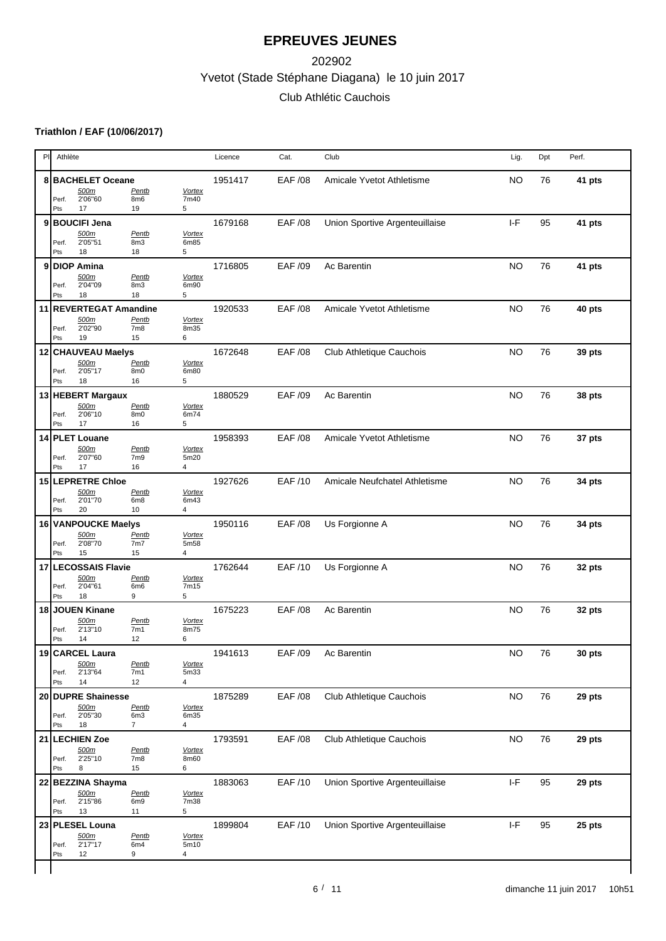# Yvetot (Stade Stéphane Diagana) le 10 juin 2017 202902 Club Athlétic Cauchois

### **Triathlon / EAF (10/06/2017)**

| PI | Athlète      |                               |                          |                       | Licence | Cat.           | Club                           | Lig.                                             | Dpt | Perf.  |
|----|--------------|-------------------------------|--------------------------|-----------------------|---------|----------------|--------------------------------|--------------------------------------------------|-----|--------|
|    |              | 8 BACHELET Oceane<br>500m     | <b>Pentb</b>             | <b>Vortex</b>         | 1951417 | <b>EAF /08</b> | Amicale Yvetot Athletisme      | <b>NO</b>                                        | 76  | 41 pts |
|    | Perf.<br>Pts | 2'06"60<br>17                 | 8m6<br>19                | 7m40<br>5             |         |                |                                |                                                  |     |        |
| 9  |              | <b>BOUCIFI Jena</b>           |                          |                       | 1679168 | EAF /08        | Union Sportive Argenteuillaise | $I-F$                                            | 95  | 41 pts |
|    | Perf.        | 500m<br>2'05"51               | Pentb<br>8m3             | <b>Vortex</b><br>6m85 |         |                |                                |                                                  |     |        |
|    | Pts          | 18                            | 18                       | 5                     |         |                |                                |                                                  |     |        |
| 9  |              | <b>DIOP Amina</b>             |                          |                       | 1716805 | EAF /09        | Ac Barentin                    | <b>NO</b>                                        | 76  | 41 pts |
|    | Perf.        | 500m<br>2'04"09               | Pentb<br>8m3             | <b>Vortex</b><br>6m90 |         |                |                                |                                                  |     |        |
|    | Pts          | 18                            | 18                       | 5                     |         |                |                                |                                                  |     |        |
|    |              | 11 REVERTEGAT Amandine        |                          |                       | 1920533 | <b>EAF /08</b> | Amicale Yvetot Athletisme      | <b>NO</b>                                        | 76  | 40 pts |
|    | Perf.        | 500m<br>2'02"90               | Pentb<br>7m <sub>8</sub> | <b>Vortex</b><br>8m35 |         |                |                                |                                                  |     |        |
|    | Pts          | 19                            | 15                       | 6                     |         |                |                                |                                                  |     |        |
|    |              | 12 CHAUVEAU Maelys<br>500m    | Pentb                    | <b>Vortex</b>         | 1672648 | <b>EAF /08</b> | Club Athletique Cauchois       | <b>NO</b>                                        | 76  | 39 pts |
|    | Perf.        | 2'05"17                       | 8m0                      | 6m80                  |         |                |                                |                                                  |     |        |
|    | Pts          | 18                            | 16                       | 5                     |         |                |                                |                                                  |     |        |
|    |              | 13 HEBERT Margaux<br>500m     | Pentb                    | <b>Vortex</b>         | 1880529 | EAF /09        | Ac Barentin                    | <b>NO</b>                                        | 76  | 38 pts |
|    | Perf.        | 2'06"10                       | 8m0                      | 6m74                  |         |                |                                |                                                  |     |        |
|    | Pts          | 17                            | 16                       | 5                     |         |                |                                |                                                  |     |        |
|    |              | 14 PLET Louane<br>500m        | Pentb                    | <b>Vortex</b>         | 1958393 | <b>EAF /08</b> | Amicale Yvetot Athletisme      | <b>NO</b>                                        | 76  | 37 pts |
|    | Perf.        | 2'07"60                       | 7m <sub>9</sub>          | 5m20                  |         |                |                                |                                                  |     |        |
|    | Pts          | 17                            | 16                       | $\overline{4}$        |         |                |                                |                                                  |     |        |
|    |              | 15 LEPRETRE Chloe<br>500m     | Pentb                    | <b>Vortex</b>         | 1927626 | <b>EAF/10</b>  | Amicale Neufchatel Athletisme  | <b>NO</b>                                        | 76  | 34 pts |
|    | Perf.        | 2'01"70                       | 6m <sub>8</sub>          | 6m43                  |         |                |                                |                                                  |     |        |
|    | Pts          | 20                            | 10                       | $\overline{4}$        |         |                |                                |                                                  |     |        |
|    |              | 16 VANPOUCKE Maelys<br>500m   | Pentb                    | <b>Vortex</b>         | 1950116 | EAF /08        | Us Forgionne A                 | <b>NO</b>                                        | 76  | 34 pts |
|    | Perf.        | 2'08"70                       | 7m7                      | 5m58                  |         |                |                                |                                                  |     |        |
| 17 | Pts          | 15<br><b>LECOSSAIS Flavie</b> | 15                       | 4                     | 1762644 | EAF /10        |                                | <b>NO</b>                                        | 76  |        |
|    |              | 500m                          | <b>Pentb</b>             | <b>Vortex</b>         |         |                | Us Forgionne A                 |                                                  |     | 32 pts |
|    | Perf.<br>Pts | 2'04"61<br>18                 | 6m <sub>6</sub><br>9     | 7m15<br>5             |         |                |                                |                                                  |     |        |
| 18 |              | JOUEN Kinane                  |                          |                       | 1675223 | <b>EAF/08</b>  | Ac Barentin                    | <b>NO</b>                                        | 76  | 32 pts |
|    |              | 500m                          | Pentb                    | <b>Vortex</b>         |         |                |                                |                                                  |     |        |
|    | Perf.<br>Pts | 2'13"10<br>14                 | 7m1<br>12                | 8m75<br>6             |         |                |                                |                                                  |     |        |
|    |              | 19   CARCEL Laura             |                          |                       | 1941613 | EAF /09        | Ac Barentin                    | <b>NO</b>                                        | 76  | 30 pts |
|    |              | 500m                          | Pentb                    | <b>Vortex</b>         |         |                |                                |                                                  |     |        |
|    | Perf.<br>Pts | 2'13"64<br>14                 | 7m1<br>12                | 5m33<br>4             |         |                |                                |                                                  |     |        |
|    |              | 20 DUPRE Shainesse            |                          |                       | 1875289 | <b>EAF /08</b> | Club Athletique Cauchois       | <b>NO</b>                                        | 76  | 29 pts |
|    | Perf.        | <u>500m</u><br>2'05"30        | Pentb<br>6m3             | <b>Vortex</b><br>6m35 |         |                |                                |                                                  |     |        |
|    | Pts          | 18                            | $\overline{7}$           | 4                     |         |                |                                |                                                  |     |        |
|    |              | 21 LECHIEN Zoe                |                          |                       | 1793591 | EAF /08        | Club Athletique Cauchois       | <b>NO</b>                                        | 76  | 29 pts |
|    | Perf.        | 500m<br>2'25"10               | Pentb<br>7m <sub>8</sub> | <b>Vortex</b><br>8m60 |         |                |                                |                                                  |     |        |
|    | Pts          | 8                             | 15                       | 6                     |         |                |                                |                                                  |     |        |
| 22 |              | BEZZINA Shayma                |                          |                       | 1883063 | EAF /10        | Union Sportive Argenteuillaise | $\ensuremath{\mathsf{I}}\ensuremath{\mathsf{F}}$ | 95  | 29 pts |
|    | Perf.        | 500m<br>2'15"86               | Pentb<br>6m <sub>9</sub> | <b>Vortex</b><br>7m38 |         |                |                                |                                                  |     |        |
|    | Pts          | 13                            | 11                       | 5                     |         |                |                                |                                                  |     |        |
|    |              | 23 PLESEL Louna               |                          |                       | 1899804 | EAF /10        | Union Sportive Argenteuillaise | $\ensuremath{\mathsf{I}}\ensuremath{\mathsf{F}}$ | 95  | 25 pts |
|    |              |                               |                          |                       |         |                |                                |                                                  |     |        |
|    | Perf.        | 500m<br>2'17"17               | Pentb<br>6m4             | <b>Vortex</b><br>5m10 |         |                |                                |                                                  |     |        |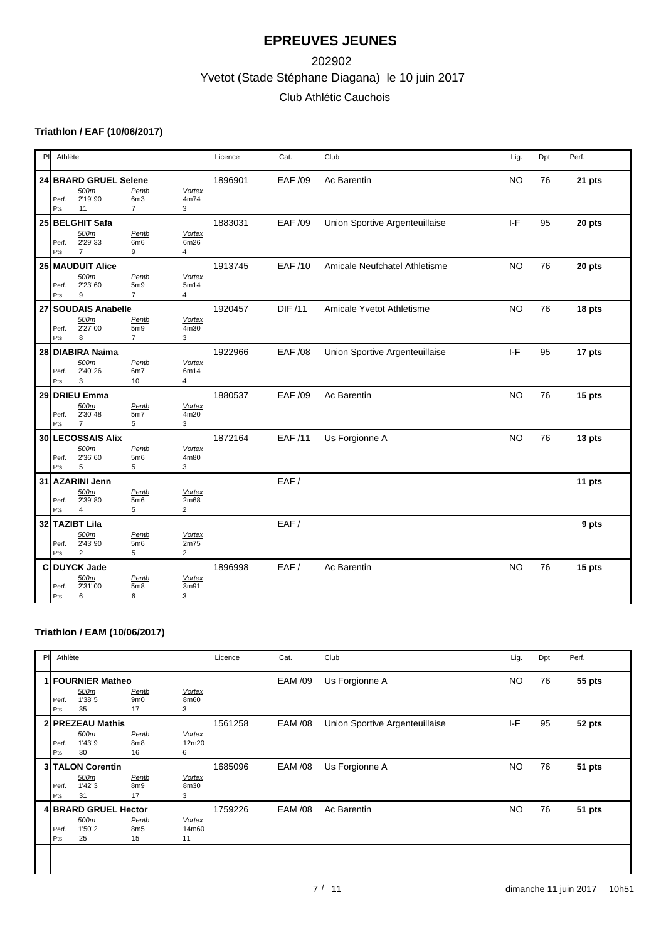# Yvetot (Stade Stéphane Diagana) le 10 juin 2017 202902 Club Athlétic Cauchois

### **Triathlon / EAF (10/06/2017)**

| PI | Athlète                                                                                                                                   | Licence | Cat.           | Club                           | Lig.      | Dpt | Perf.  |
|----|-------------------------------------------------------------------------------------------------------------------------------------------|---------|----------------|--------------------------------|-----------|-----|--------|
|    | 24 BRARD GRUEL Selene<br>500m<br>Pentb<br><b>Vortex</b><br>2'19"90<br>6m3<br>4m74<br>Perf.<br>3<br>11<br>$\overline{7}$<br>Pts            | 1896901 | <b>EAF /09</b> | Ac Barentin                    | <b>NO</b> | 76  | 21 pts |
|    | 25 BELGHIT Safa<br>500m<br>Pentb<br>Vortex<br>2'29"33<br>6m <sub>6</sub><br>6m26<br>Perf.<br>$\overline{7}$<br>$\overline{4}$<br>Pts<br>9 | 1883031 | EAF /09        | Union Sportive Argenteuillaise | $I-F$     | 95  | 20 pts |
|    | 25 MAUDUIT Alice<br>500m<br><b>Vortex</b><br>Pentb<br>2'23"60<br>5m9<br>5m14<br>Perf.<br>$\overline{7}$<br>$\overline{4}$<br>Pts<br>9     | 1913745 | <b>EAF/10</b>  | Amicale Neufchatel Athletisme  | <b>NO</b> | 76  | 20 pts |
|    | 27 SOUDAIS Anabelle<br>500m<br>Pentb<br><b>Vortex</b><br>2'27"00<br>5 <sub>m9</sub><br>4m30<br>Perf.<br>$\overline{7}$<br>3<br>Pts<br>8   | 1920457 | <b>DIF /11</b> | Amicale Yvetot Athletisme      | <b>NO</b> | 76  | 18 pts |
|    | 28 DIABIRA Naima<br>500m<br>Pentb<br><b>Vortex</b><br>2'40"26<br>6m7<br>6m14<br>Perf.<br>3<br>$\overline{4}$<br>Pts<br>10                 | 1922966 | EAF /08        | Union Sportive Argenteuillaise | $I-F$     | 95  | 17 pts |
|    | 29 DRIEU Emma<br>500m<br>Pentb<br><b>Vortex</b><br>2'30"48<br>5m7<br>4m20<br>Perf.<br>3<br>Pts<br>$\overline{7}$<br>5                     | 1880537 | <b>EAF /09</b> | Ac Barentin                    | <b>NO</b> | 76  | 15 pts |
|    | 30 LECOSSAIS Alix<br>Pentb<br>500m<br><b>Vortex</b><br>2'36"60<br>5m6<br>4m80<br>Perf.<br>5<br>5<br>3<br>Pts                              | 1872164 | <b>EAF/11</b>  | Us Forgionne A                 | <b>NO</b> | 76  | 13 pts |
|    | 31 AZARINI Jenn<br>500m<br>Pentb<br>Vortex<br>2'39"80<br>5m6<br>2m68<br>Perf.<br>$\overline{2}$<br>5<br>4<br>Pts                          |         | EAF/           |                                |           |     | 11 pts |
|    | 32 TAZIBT Lila<br>500m<br>Pentb<br><b>Vortex</b><br>2'43"90<br>5m6<br>2m75<br>Perf.<br>$\overline{2}$<br>$\overline{2}$<br>5<br>Pts       |         | EAF/           |                                |           |     | 9 pts  |
|    | C DUYCK Jade<br>500m<br>Pentb<br><b>Vortex</b><br>2'31"00<br>5m8<br>Perf.<br>3m91<br>6<br>6<br>3<br>Pts                                   | 1896998 | EAF/           | Ac Barentin                    | <b>NO</b> | 76  | 15 pts |

### **Triathlon / EAM (10/06/2017)**

|              |                      |                                |                                                                                          | Licence | Cat.           | Club                           | Lig.      | Dpt | Perf.  |
|--------------|----------------------|--------------------------------|------------------------------------------------------------------------------------------|---------|----------------|--------------------------------|-----------|-----|--------|
| Perf.<br>Pts | 500m<br>1'38"5<br>35 | Pentb<br>9 <sub>m0</sub><br>17 | <b>Vortex</b><br>8m60<br>3                                                               |         | <b>EAM /09</b> | Us Forgionne A                 | <b>NO</b> | 76  | 55 pts |
| Perf.<br>Pts | 500m<br>1'43"9<br>30 | Pentb<br>8m <sub>8</sub><br>16 | <b>Vortex</b><br>12m20<br>6                                                              | 1561258 | <b>EAM /08</b> | Union Sportive Argenteuillaise | $I-F$     | 95  | 52 pts |
| Perf.<br>Pts | 500m<br>1'42"3<br>31 | Pentb<br>8m9<br>17             | <b>Vortex</b><br>8m30<br>3                                                               | 1685096 | <b>EAM /08</b> | Us Forgionne A                 | <b>NO</b> | 76  | 51 pts |
| Perf.<br>Pts | 500m<br>1'50"2<br>25 | Pentb<br>8m <sub>5</sub><br>15 | Vortex<br>14m60<br>11                                                                    | 1759226 | <b>EAM /08</b> | Ac Barentin                    | <b>NO</b> | 76  | 51 pts |
| PI.          |                      | Athlète                        | 1 FOURNIER Matheo<br>2 PREZEAU Mathis<br><b>3 TALON Corentin</b><br>4 BRARD GRUEL Hector |         |                |                                |           |     |        |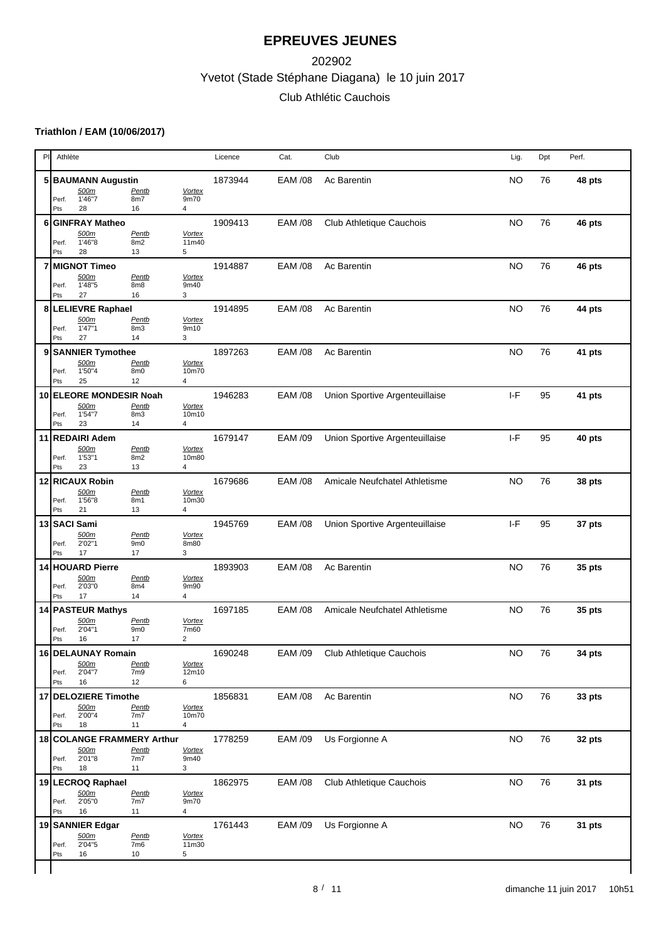# Yvetot (Stade Stéphane Diagana) le 10 juin 2017 202902 Club Athlétic Cauchois

### **Triathlon / EAM (10/06/2017)**

|   |                   |                                            |                                |                                          |         |                |                                  |           | Dpt | Perf.  |
|---|-------------------|--------------------------------------------|--------------------------------|------------------------------------------|---------|----------------|----------------------------------|-----------|-----|--------|
|   | Perf.             | 5 BAUMANN Augustin<br>500m<br>1'46"7       | <b>Pentb</b><br>8m7            | <b>Vortex</b><br>9m70                    | 1873944 | <b>EAM /08</b> | Ac Barentin                      | <b>NO</b> | 76  | 48 pts |
|   | Pts               | 28                                         | 16                             | 4                                        |         |                |                                  |           |     |        |
| 6 | Perf.             | <b>GINFRAY Matheo</b><br>500m<br>1'46"8    | Pentb<br>8m2                   | <b>Vortex</b><br>11m40                   | 1909413 | <b>EAM /08</b> | Club Athletique Cauchois         | <b>NO</b> | 76  | 46 pts |
|   | Pts               | 28                                         | 13                             | 5                                        |         |                |                                  |           |     |        |
| 7 | Perf.             | <b>MIGNOT Timeo</b><br>500m<br>1'48"5      | Pentb<br>8m8                   | <b>Vortex</b><br>9m40                    | 1914887 | <b>EAM /08</b> | Ac Barentin                      | <b>NO</b> | 76  | 46 pts |
|   | Pts               | 27                                         | 16                             | 3                                        |         |                |                                  |           |     |        |
|   | Perf.             | 8 LELIEVRE Raphael<br>500m<br>1'47"1       | Pentb<br>8m3                   | <b>Vortex</b><br>9m10                    | 1914895 | <b>EAM /08</b> | Ac Barentin                      | <b>NO</b> | 76  | 44 pts |
|   | Pts               | 27                                         | 14                             | 3                                        |         |                |                                  |           |     |        |
|   | Perf.<br>Pts      | 9 SANNIER Tymothee<br>500m<br>1'50"4<br>25 | Pentb<br>8m0<br>12             | <b>Vortex</b><br>10m70<br>4              | 1897263 | <b>EAM /08</b> | Ac Barentin                      | <b>NO</b> | 76  | 41 pts |
|   |                   | 10 ELEORE MONDESIR Noah                    |                                |                                          | 1946283 | <b>EAM /08</b> | Union Sportive Argenteuillaise   | $I-F$     | 95  | 41 pts |
|   | Perf.<br>Pts      | 500m<br>1'54"7<br>23                       | Pentb<br>8m3<br>14             | <b>Vortex</b><br>10m10<br>4              |         |                |                                  |           |     |        |
|   |                   | 11 REDAIRI Adem                            |                                |                                          | 1679147 | <b>EAM /09</b> | Union Sportive Argenteuillaise   | $I-F$     | 95  | 40 pts |
|   | Perf.<br>Pts      | 500m<br>1'53"1<br>23                       | Pentb<br>8m2<br>13             | <b>Vortex</b><br>10m80<br>4              |         |                |                                  |           |     |        |
|   |                   | 12 RICAUX Robin                            |                                |                                          | 1679686 | <b>EAM /08</b> | Amicale Neufchatel Athletisme    | <b>NO</b> | 76  | 38 pts |
|   | Perf.<br>Pts      | 500m<br>1'56"8<br>21                       | Pentb<br>8m1<br>13             | <b>Vortex</b><br>10m30<br>$\overline{4}$ |         |                |                                  |           |     |        |
|   |                   | 13 SACI Sami                               |                                |                                          | 1945769 | <b>EAM /08</b> | Union Sportive Argenteuillaise   | $I-F$     | 95  | 37 pts |
|   | Perf.<br>Pts      | 500m<br>2'02"1<br>17                       | Pentb<br>9 <sub>m0</sub><br>17 | <b>Vortex</b><br>8m80<br>3               |         |                |                                  |           |     |        |
|   |                   | 14 HOUARD Pierre                           |                                |                                          | 1893903 | <b>EAM /08</b> | Ac Barentin                      | <b>NO</b> | 76  | 35 pts |
|   | Perf.<br>Pts      | 500m<br>2'03"0<br>17                       | Pentb<br>8m4<br>14             | <b>Vortex</b><br>9m90<br>4               |         |                |                                  |           |     |        |
|   |                   | 14 PASTEUR Mathys                          |                                |                                          | 1697185 | EAM /08        | Amicale Neufchatel Athletisme    | <b>NO</b> | 76  | 35 pts |
|   | Perf.<br>Pts      | 500m<br>2'04"1<br>16                       | Pentb<br>9 <sub>m0</sub><br>17 | <b>Vortex</b><br>7m60<br>2               |         |                |                                  |           |     |        |
|   |                   | 16 DELAUNAY Romain                         |                                |                                          | 1690248 |                | EAM /09 Club Athletique Cauchois | NO.       | 76  | 34 pts |
|   | Perf.<br>Pts      | 500m<br>2'04"7<br>16                       | Pentb<br>7m <sub>9</sub><br>12 | <b>Vortex</b><br>12m10<br>6              |         |                |                                  |           |     |        |
|   |                   | 17 DELOZIERE Timothe                       |                                |                                          | 1856831 | <b>EAM /08</b> | Ac Barentin                      | <b>NO</b> | 76  | 33 pts |
|   | Perf.<br>Pts      | 500m<br>2'00''4<br>18                      | <u>Pentb</u><br>7m7<br>11      | <b>Vortex</b><br>10m70<br>4              |         |                |                                  |           |     |        |
|   |                   | 18 COLANGE FRAMMERY Arthur                 |                                |                                          | 1778259 | <b>EAM /09</b> | Us Forgionne A                   | <b>NO</b> | 76  | 32 pts |
|   | Perf.<br>Pts      | 500m<br>2'01"8<br>18                       | Pentb<br>7m7<br>11             | <b>Vortex</b><br>9m40<br>3               |         |                |                                  |           |     |        |
|   | 19 LECROQ Raphael |                                            |                                |                                          | 1862975 | <b>EAM /08</b> | Club Athletique Cauchois         | <b>NO</b> | 76  | 31 pts |
|   | Perf.<br>Pts      | <u>500m</u><br>2'05"0<br>16                | Pentb<br>7m7<br>11             | <b>Vortex</b><br>9m70<br>$\overline{4}$  |         |                |                                  |           |     |        |
|   |                   | 19 SANNIER Edgar<br>500m                   | Pentb                          | <b>Vortex</b>                            | 1761443 | <b>EAM /09</b> | Us Forgionne A                   | <b>NO</b> | 76  | 31 pts |
|   | Perf.<br>Pts      | 2'04''5<br>16                              | 7m <sub>6</sub><br>10          | 11m30<br>5                               |         |                |                                  |           |     |        |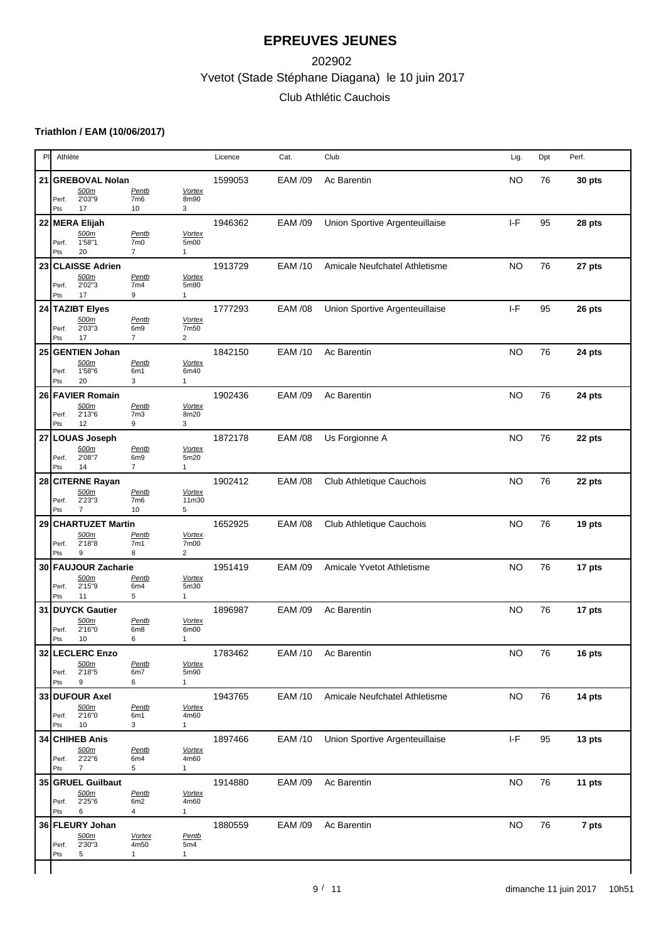# Yvetot (Stade Stéphane Diagana) le 10 juin 2017 202902 Club Athlétic Cauchois

### **Triathlon / EAM (10/06/2017)**

| P  | Athlète                                            |                                                   |                                         | Licence | Cat.           | Club                           | Lig.                                            | Dpt | Perf.  |
|----|----------------------------------------------------|---------------------------------------------------|-----------------------------------------|---------|----------------|--------------------------------|-------------------------------------------------|-----|--------|
| 21 | <b>GREBOVAL Nolan</b><br>500m                      | Pentb                                             | <b>Vortex</b>                           | 1599053 | EAM /09        | Ac Barentin                    | <b>NO</b>                                       | 76  | 30 pts |
|    | 2'03"9<br>Perf.<br>17<br>Pts                       | 7m <sub>6</sub><br>10                             | 8m90<br>3                               |         |                |                                |                                                 |     |        |
|    | 22 MERA Elijah                                     |                                                   |                                         | 1946362 | <b>EAM /09</b> | Union Sportive Argenteuillaise | $I-F$                                           | 95  | 28 pts |
|    | 500m<br>1'58"1<br>Perf.<br>20<br>Pts               | Pentb<br>7m0<br>$\overline{7}$                    | Vortex<br>5m00<br>$\mathbf{1}$          |         |                |                                |                                                 |     |        |
| 23 | <b>CLAISSE Adrien</b>                              |                                                   |                                         | 1913729 | <b>EAM/10</b>  | Amicale Neufchatel Athletisme  | <b>NO</b>                                       | 76  | 27 pts |
|    | 500m<br>2'02"3<br>Perf.<br>17<br>Pts               | Pentb<br>7m4<br>9                                 | <b>Vortex</b><br>5m90<br>$\mathbf{1}$   |         |                |                                |                                                 |     |        |
|    | 24 TAZIBT Elyes                                    |                                                   |                                         | 1777293 | <b>EAM /08</b> | Union Sportive Argenteuillaise | $I-F$                                           | 95  | 26 pts |
|    | 500m<br>2'03"3<br>Perf.<br>17<br>Pts               | Pentb<br>6m <sub>9</sub><br>$\overline{7}$        | <b>Vortex</b><br>7m50<br>$\overline{c}$ |         |                |                                |                                                 |     |        |
| 25 | <b>GENTIEN Johan</b>                               |                                                   |                                         | 1842150 | <b>EAM /10</b> | Ac Barentin                    | <b>NO</b>                                       | 76  | 24 pts |
|    | 500m<br>1'58"6<br>Perf.<br>20<br>Pts               | Pentb<br>6m1<br>3                                 | <b>Vortex</b><br>6m40<br>$\mathbf{1}$   |         |                |                                |                                                 |     |        |
|    | 26 FAVIER Romain                                   |                                                   |                                         | 1902436 | <b>EAM /09</b> | Ac Barentin                    | <b>NO</b>                                       | 76  | 24 pts |
|    | 500m<br>2'13"6<br>Perf.<br>12<br>Pts               | Pentb<br>7 <sub>m3</sub><br>9                     | <b>Vortex</b><br>8m20<br>3              |         |                |                                |                                                 |     |        |
| 27 | LOUAS Joseph                                       |                                                   |                                         | 1872178 | <b>EAM /08</b> | Us Forgionne A                 | <b>NO</b>                                       | 76  | 22 pts |
|    | 500m<br>2'08"7<br>Perf.<br>14<br>Pts               | <b>Pentb</b><br>6m <sub>9</sub><br>$\overline{7}$ | <b>Vortex</b><br>5m20<br>$\mathbf{1}$   |         |                |                                |                                                 |     |        |
|    | 28 CITERNE Rayan                                   |                                                   |                                         | 1902412 | <b>EAM /08</b> | Club Athletique Cauchois       | <b>NO</b>                                       | 76  | 22 pts |
|    | 500m<br>2'23"3<br>Perf.<br>$\overline{7}$          | Pentb<br>7m <sub>6</sub><br>10                    | Vortex<br>11m30<br>5                    |         |                |                                |                                                 |     |        |
| 29 | Pts<br><b>CHARTUZET Martin</b>                     |                                                   |                                         | 1652925 | <b>EAM /08</b> | Club Athletique Cauchois       | <b>NO</b>                                       | 76  | 19 pts |
|    | 500m<br>2'18"8<br>Perf.                            | Pentb<br>7m1                                      | <b>Vortex</b><br>7m00                   |         |                |                                |                                                 |     |        |
|    | 9<br>Pts<br>30 FAUJOUR Zacharie                    | 8                                                 | $\overline{2}$                          | 1951419 | <b>EAM /09</b> | Amicale Yvetot Athletisme      | <b>NO</b>                                       | 76  | 17 pts |
|    | 500m<br>2'15"9<br>Perf.                            | Pentb<br>6m4                                      | <b>Vortex</b><br>5m30                   |         |                |                                |                                                 |     |        |
| 31 | 11<br>Pts<br><b>DUYCK Gautier</b>                  | 5                                                 | $\mathbf{1}$                            | 1896987 | <b>EAM /09</b> | Ac Barentin                    | <b>NO</b>                                       | 76  | 17 pts |
|    | 500m<br>2'16"0<br>Perf.<br>10                      | Pentb<br>6m <sub>8</sub><br>6                     | <b>Vortex</b><br>6m00<br>$\mathbf{1}$   |         |                |                                |                                                 |     |        |
|    | Pts<br>32 LECLERC Enzo                             |                                                   |                                         | 1783462 |                | EAM /10 Ac Barentin            | NO                                              | 76  | 16 pts |
|    | 500m<br>2'18"5<br>Perf.<br>$\boldsymbol{9}$<br>Pts | <b>Pentb</b><br>6m7<br>6                          | <b>Vortex</b><br>5m90<br>$\mathbf{1}$   |         |                |                                |                                                 |     |        |
|    | 33 DUFOUR Axel                                     |                                                   |                                         | 1943765 | <b>EAM/10</b>  | Amicale Neufchatel Athletisme  | <b>NO</b>                                       | 76  | 14 pts |
|    | 500m<br>2'16"0<br>Perf.<br>10<br>Pts               | Pentb<br>6m1<br>3                                 | Vortex<br>4m60<br>$\mathbf{1}$          |         |                |                                |                                                 |     |        |
|    | 34 CHIHEB Anis                                     |                                                   |                                         | 1897466 | EAM /10        | Union Sportive Argenteuillaise | $\ensuremath{\mathsf{I}}\ensuremath{\text{-F}}$ | 95  | 13 pts |
|    | 500m<br>2'22"6<br>Perf.<br>Pts<br>$\overline{7}$   | Pentb<br>6m4<br>5                                 | <b>Vortex</b><br>4m60                   |         |                |                                |                                                 |     |        |
|    | 35 GRUEL Guilbaut                                  |                                                   | $\mathbf{1}$                            | 1914880 | <b>EAM /09</b> | Ac Barentin                    | <b>NO</b>                                       | 76  | 11 pts |
|    | 500m<br>2'25"6<br>Perf.<br>Pts<br>6                | Pentb<br>6m2<br>$\overline{4}$                    | <b>Vortex</b><br>4m60<br>$\mathbf{1}$   |         |                |                                |                                                 |     |        |
|    | 36 FLEURY Johan                                    |                                                   |                                         | 1880559 | <b>EAM /09</b> | Ac Barentin                    | <b>NO</b>                                       | 76  | 7 pts  |
|    | 500m<br>2'30"3<br>Perf.                            | <b>Vortex</b><br>4m50                             | Pentb<br>5m4                            |         |                |                                |                                                 |     |        |
|    | 5<br>Pts                                           | $\mathbf{1}$                                      | $\mathbf{1}$                            |         |                |                                |                                                 |     |        |
|    |                                                    |                                                   |                                         |         |                |                                |                                                 |     |        |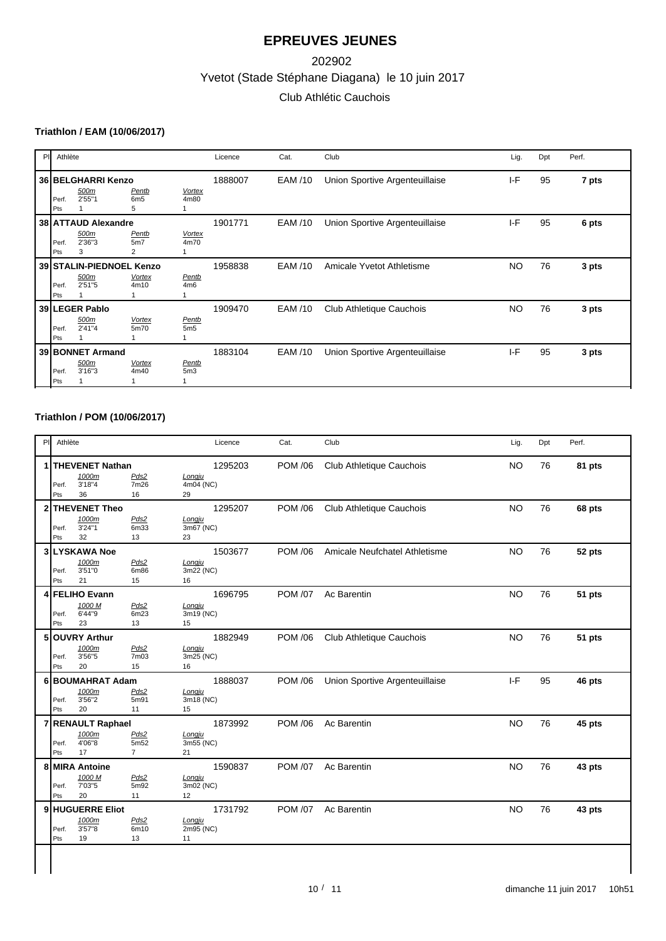# Yvetot (Stade Stéphane Diagana) le 10 juin 2017 202902 Club Athlétic Cauchois

### **Triathlon / EAM (10/06/2017)**

| PI | Athlète      |                                            |                                            |                       | Licence | Cat.    | Club                           | Lig.      | Dpt | Perf. |
|----|--------------|--------------------------------------------|--------------------------------------------|-----------------------|---------|---------|--------------------------------|-----------|-----|-------|
|    | Perf.<br>Pts | 36 BELGHARRI Kenzo<br>500m<br>2'55"1       | <b>Pentb</b><br>6 <sub>m</sub> 5<br>5      | <b>Vortex</b><br>4m80 | 1888007 | EAM /10 | Union Sportive Argenteuillaise | IF        | 95  | 7 pts |
|    | Perf.<br>Pts | 38 ATTAUD Alexandre<br>500m<br>2'36"3<br>3 | Pentb<br>5m <sub>7</sub><br>$\overline{2}$ | <b>Vortex</b><br>4m70 | 1901771 | EAM /10 | Union Sportive Argenteuillaise | $I-F$     | 95  | 6 pts |
|    | Perf.<br>Pts | 39 STALIN-PIEDNOEL Kenzo<br>500m<br>2'51"5 | <b>Vortex</b><br>4m10                      | Pentb<br>4m6          | 1958838 | EAM /10 | Amicale Yvetot Athletisme      | <b>NO</b> | 76  | 3 pts |
|    | Perf.<br>Pts | 39 LEGER Pablo<br>500m<br>2'41"4           | <b>Vortex</b><br>5m70                      | Pentb<br>5m5          | 1909470 | EAM /10 | Club Athletique Cauchois       | <b>NO</b> | 76  | 3 pts |
|    | Perf.<br>Pts | 39 BONNET Armand<br>500m<br>3'16''3        | <b>Vortex</b><br>4m40                      | Pentb<br>5m3          | 1883104 | EAM /10 | Union Sportive Argenteuillaise | $I-F$     | 95  | 3 pts |

### **Triathlon / POM (10/06/2017)**

| P | Athlète      |                          |                  | Licence           | Cat.           | Club                           | Lig.      | Dpt | Perf.  |
|---|--------------|--------------------------|------------------|-------------------|----------------|--------------------------------|-----------|-----|--------|
|   |              | THEVENET Nathan<br>1000m | Pds2             | 1295203<br>Longju | <b>POM /06</b> | Club Athletique Cauchois       | <b>NO</b> | 76  | 81 pts |
|   | Perf.        | 3'18"4                   | 7m26             | 4m04 (NC)         |                |                                |           |     |        |
|   | Pts          | 36                       | 16               | 29                |                |                                |           |     |        |
| 2 |              | <b>THEVENET Theo</b>     |                  | 1295207           | <b>POM /06</b> | Club Athletique Cauchois       | <b>NO</b> | 76  | 68 pts |
|   |              | 1000m                    | Pds2             | Longju            |                |                                |           |     |        |
|   | Perf.<br>Pts | 3'24"1<br>32             | 6m33<br>13       | 3m67 (NC)<br>23   |                |                                |           |     |        |
|   |              | 3 LYSKAWA Noe            |                  | 1503677           | <b>POM /06</b> | Amicale Neufchatel Athletisme  | <b>NO</b> | 76  | 52 pts |
|   |              | 1000m                    | Pds2             | Longju            |                |                                |           |     |        |
|   | Perf.        | 3'51"0                   | 6m86             | 3m22 (NC)         |                |                                |           |     |        |
|   | Pts          | 21                       | 15               | 16                |                |                                |           |     |        |
|   |              | <b>FELIHO Evann</b>      |                  | 1696795           | <b>POM /07</b> | Ac Barentin                    | <b>NO</b> | 76  | 51 pts |
|   |              | 1000 M<br>6'44"9         | Pds2             | Longju            |                |                                |           |     |        |
|   | Perf.<br>Pts | 23                       | 6m23<br>13       | 3m19 (NC)<br>15   |                |                                |           |     |        |
|   |              | 5 OUVRY Arthur           |                  | 1882949           | <b>POM /06</b> |                                | <b>NO</b> | 76  |        |
|   |              | 1000m                    | Pds2             | Longju            |                | Club Athletique Cauchois       |           |     | 51 pts |
|   | Perf.        | 3'56"5                   | 7m03             | 3m25 (NC)         |                |                                |           |     |        |
|   | Pts          | 20                       | 15               | 16                |                |                                |           |     |        |
|   |              | 6 BOUMAHRAT Adam         |                  | 1888037           | <b>POM /06</b> | Union Sportive Argenteuillaise | I-F       | 95  | 46 pts |
|   |              | 1000m                    | Pds2             | Longju            |                |                                |           |     |        |
|   | Perf.<br>Pts | 3'56"2<br>20             | 5m91<br>11       | 3m18 (NC)<br>15   |                |                                |           |     |        |
|   |              | <b>RENAULT Raphael</b>   |                  | 1873992           | <b>POM /06</b> | Ac Barentin                    | <b>NO</b> | 76  | 45 pts |
|   |              | 1000m                    | Pds2             | Longju            |                |                                |           |     |        |
|   | Perf.        | 4'06"8                   | 5m <sub>52</sub> | 3m55 (NC)         |                |                                |           |     |        |
|   | Pts          | 17                       | $\overline{7}$   | 21                |                |                                |           |     |        |
|   |              | 8 MIRA Antoine           |                  | 1590837           | <b>POM /07</b> | Ac Barentin                    | <b>NO</b> | 76  | 43 pts |
|   |              | 1000 M<br>7'03"5         | Pds2             | Longju            |                |                                |           |     |        |
|   | Perf.<br>Pts | 20                       | 5m92<br>11       | 3m02 (NC)<br>12   |                |                                |           |     |        |
|   |              | 9 HUGUERRE Eliot         |                  | 1731792           | <b>POM /07</b> | Ac Barentin                    | <b>NO</b> | 76  | 43 pts |
|   |              | 1000m                    | Pds2             | Longju            |                |                                |           |     |        |
|   |              | 3'57"8                   | 6m10             | 2m95 (NC)         |                |                                |           |     |        |
|   | Perf.<br>Pts | 19                       | 13               | 11                |                |                                |           |     |        |